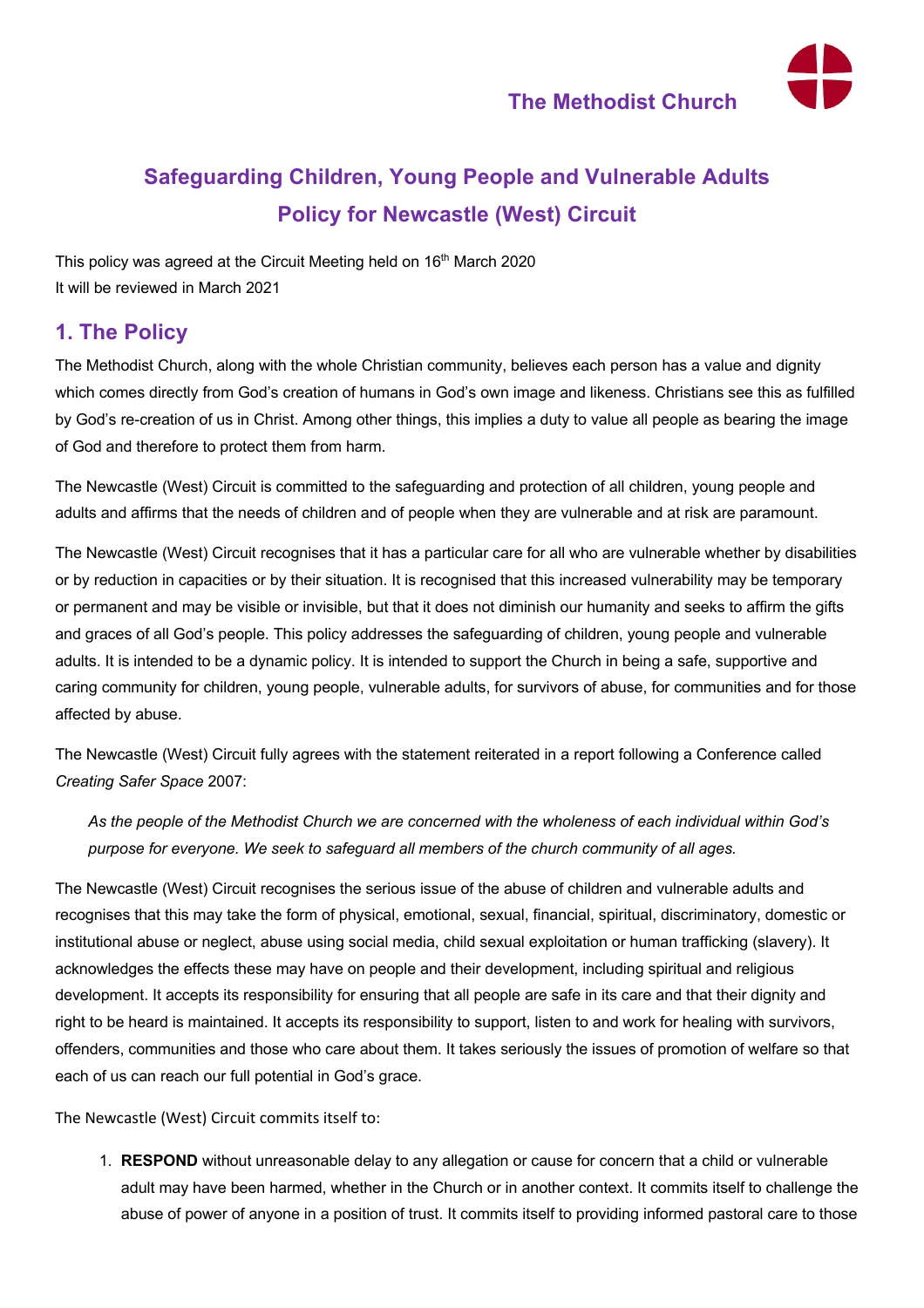**The Methodist Church**



# **Safeguarding Children, Young People and Vulnerable Adults Policy for Newcastle (West) Circuit**

This policy was agreed at the Circuit Meeting held on 16<sup>th</sup> March 2020 It will be reviewed in March 2021

## **1. The Policy**

The Methodist Church, along with the whole Christian community, believes each person has a value and dignity which comes directly from God's creation of humans in God's own image and likeness. Christians see this as fulfilled by God's re-creation of us in Christ. Among other things, this implies a duty to value all people as bearing the image of God and therefore to protect them from harm.

The Newcastle (West) Circuit is committed to the safeguarding and protection of all children, young people and adults and affirms that the needs of children and of people when they are vulnerable and at risk are paramount.

The Newcastle (West) Circuit recognises that it has a particular care for all who are vulnerable whether by disabilities or by reduction in capacities or by their situation. It is recognised that this increased vulnerability may be temporary or permanent and may be visible or invisible, but that it does not diminish our humanity and seeks to affirm the gifts and graces of all God's people. This policy addresses the safeguarding of children, young people and vulnerable adults. It is intended to be a dynamic policy. It is intended to support the Church in being a safe, supportive and caring community for children, young people, vulnerable adults, for survivors of abuse, for communities and for those affected by abuse.

The Newcastle (West) Circuit fully agrees with the statement reiterated in a report following a Conference called *Creating Safer Space* 2007:

*As the people of the Methodist Church we are concerned with the wholeness of each individual within God's purpose for everyone. We seek to safeguard all members of the church community of all ages.* 

The Newcastle (West) Circuit recognises the serious issue of the abuse of children and vulnerable adults and recognises that this may take the form of physical, emotional, sexual, financial, spiritual, discriminatory, domestic or institutional abuse or neglect, abuse using social media, child sexual exploitation or human trafficking (slavery). It acknowledges the effects these may have on people and their development, including spiritual and religious development. It accepts its responsibility for ensuring that all people are safe in its care and that their dignity and right to be heard is maintained. It accepts its responsibility to support, listen to and work for healing with survivors, offenders, communities and those who care about them. It takes seriously the issues of promotion of welfare so that each of us can reach our full potential in God's grace.

The Newcastle (West) Circuit commits itself to:

1. **RESPOND** without unreasonable delay to any allegation or cause for concern that a child or vulnerable adult may have been harmed, whether in the Church or in another context. It commits itself to challenge the abuse of power of anyone in a position of trust. It commits itself to providing informed pastoral care to those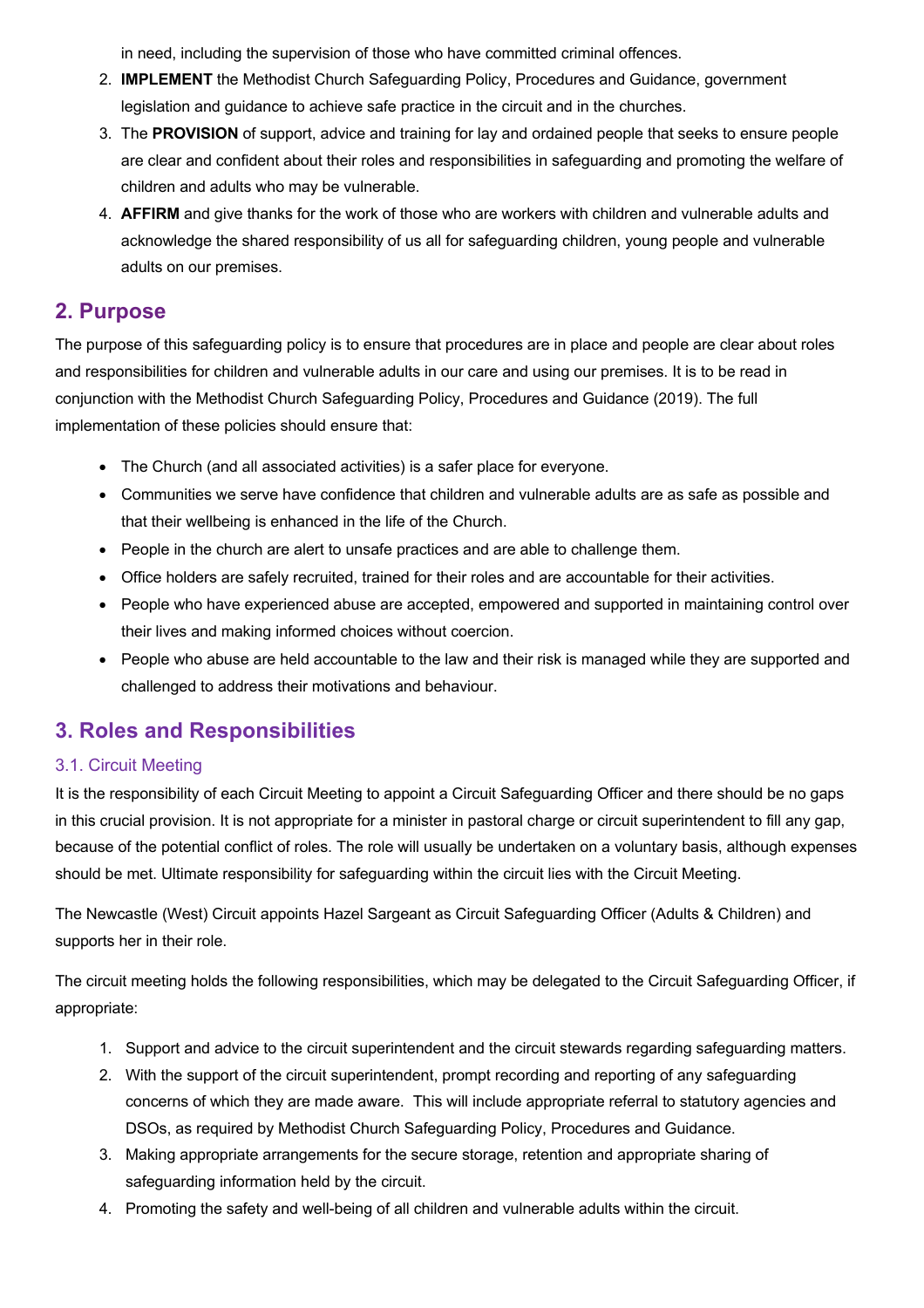in need, including the supervision of those who have committed criminal offences.

- 2. **IMPLEMENT** the Methodist Church Safeguarding Policy, Procedures and Guidance, government legislation and guidance to achieve safe practice in the circuit and in the churches.
- 3. The **PROVISION** of support, advice and training for lay and ordained people that seeks to ensure people are clear and confident about their roles and responsibilities in safeguarding and promoting the welfare of children and adults who may be vulnerable.
- 4. **AFFIRM** and give thanks for the work of those who are workers with children and vulnerable adults and acknowledge the shared responsibility of us all for safeguarding children, young people and vulnerable adults on our premises.

## **2. Purpose**

The purpose of this safeguarding policy is to ensure that procedures are in place and people are clear about roles and responsibilities for children and vulnerable adults in our care and using our premises. It is to be read in conjunction with the Methodist Church Safeguarding Policy, Procedures and Guidance (2019). The full implementation of these policies should ensure that:

- The Church (and all associated activities) is a safer place for everyone.
- Communities we serve have confidence that children and vulnerable adults are as safe as possible and that their wellbeing is enhanced in the life of the Church.
- People in the church are alert to unsafe practices and are able to challenge them.
- Office holders are safely recruited, trained for their roles and are accountable for their activities.
- People who have experienced abuse are accepted, empowered and supported in maintaining control over their lives and making informed choices without coercion.
- People who abuse are held accountable to the law and their risk is managed while they are supported and challenged to address their motivations and behaviour.

## **3. Roles and Responsibilities**

#### 3.1. Circuit Meeting

It is the responsibility of each Circuit Meeting to appoint a Circuit Safeguarding Officer and there should be no gaps in this crucial provision. It is not appropriate for a minister in pastoral charge or circuit superintendent to fill any gap, because of the potential conflict of roles. The role will usually be undertaken on a voluntary basis, although expenses should be met. Ultimate responsibility for safeguarding within the circuit lies with the Circuit Meeting.

The Newcastle (West) Circuit appoints Hazel Sargeant as Circuit Safeguarding Officer (Adults & Children) and supports her in their role.

The circuit meeting holds the following responsibilities, which may be delegated to the Circuit Safeguarding Officer, if appropriate:

- 1. Support and advice to the circuit superintendent and the circuit stewards regarding safeguarding matters.
- 2. With the support of the circuit superintendent, prompt recording and reporting of any safeguarding concerns of which they are made aware. This will include appropriate referral to statutory agencies and DSOs, as required by Methodist Church Safeguarding Policy, Procedures and Guidance.
- 3. Making appropriate arrangements for the secure storage, retention and appropriate sharing of safeguarding information held by the circuit.
- 4. Promoting the safety and well-being of all children and vulnerable adults within the circuit.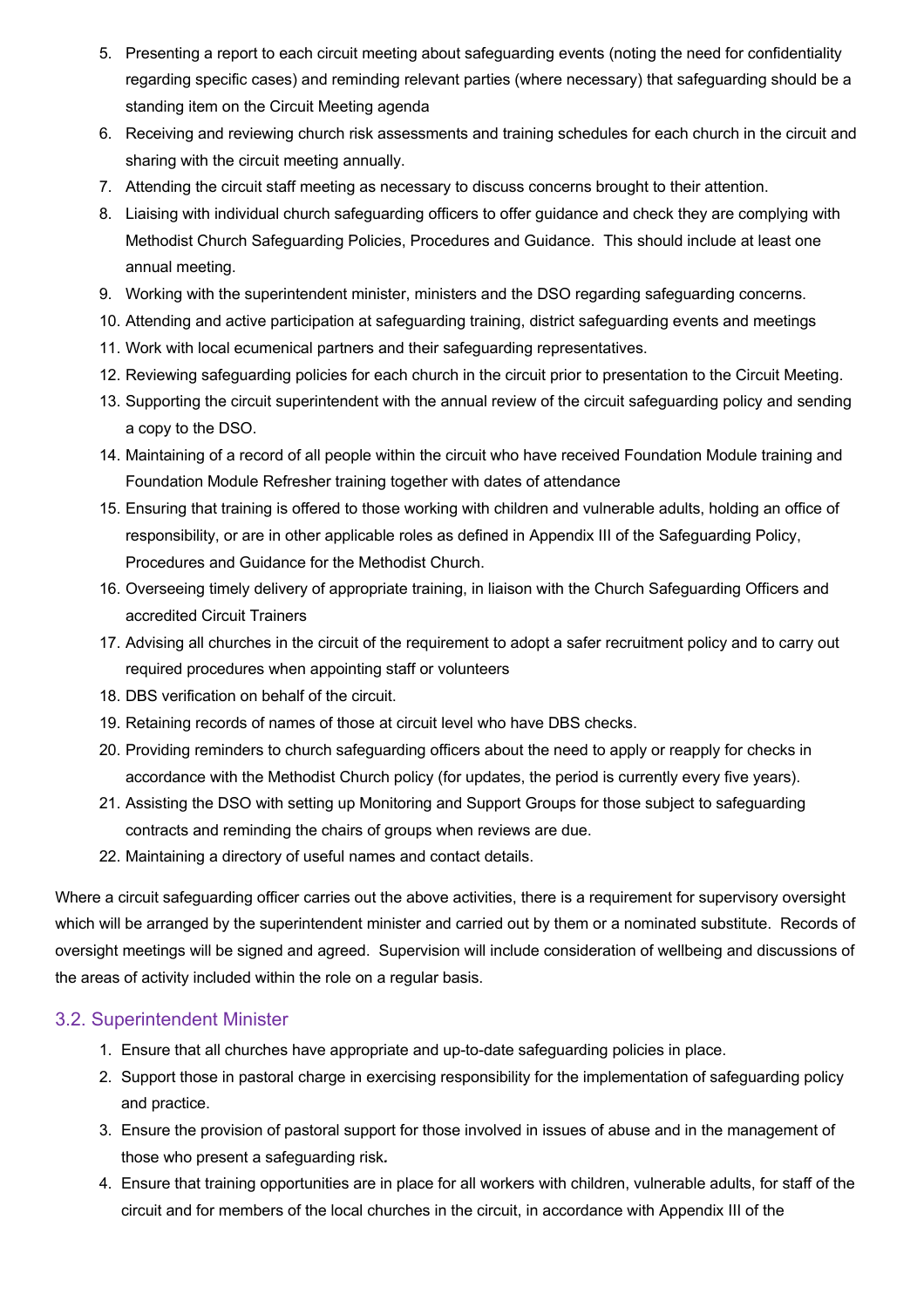- 5. Presenting a report to each circuit meeting about safeguarding events (noting the need for confidentiality regarding specific cases) and reminding relevant parties (where necessary) that safeguarding should be a standing item on the Circuit Meeting agenda
- 6. Receiving and reviewing church risk assessments and training schedules for each church in the circuit and sharing with the circuit meeting annually.
- 7. Attending the circuit staff meeting as necessary to discuss concerns brought to their attention.
- 8. Liaising with individual church safeguarding officers to offer guidance and check they are complying with Methodist Church Safeguarding Policies, Procedures and Guidance. This should include at least one annual meeting.
- 9. Working with the superintendent minister, ministers and the DSO regarding safeguarding concerns.
- 10. Attending and active participation at safeguarding training, district safeguarding events and meetings
- 11. Work with local ecumenical partners and their safeguarding representatives.
- 12. Reviewing safeguarding policies for each church in the circuit prior to presentation to the Circuit Meeting.
- 13. Supporting the circuit superintendent with the annual review of the circuit safeguarding policy and sending a copy to the DSO.
- 14. Maintaining of a record of all people within the circuit who have received Foundation Module training and Foundation Module Refresher training together with dates of attendance
- 15. Ensuring that training is offered to those working with children and vulnerable adults, holding an office of responsibility, or are in other applicable roles as defined in Appendix III of the Safeguarding Policy, Procedures and Guidance for the Methodist Church.
- 16. Overseeing timely delivery of appropriate training, in liaison with the Church Safeguarding Officers and accredited Circuit Trainers
- 17. Advising all churches in the circuit of the requirement to adopt a safer recruitment policy and to carry out required procedures when appointing staff or volunteers
- 18. DBS verification on behalf of the circuit.
- 19. Retaining records of names of those at circuit level who have DBS checks.
- 20. Providing reminders to church safeguarding officers about the need to apply or reapply for checks in accordance with the Methodist Church policy (for updates, the period is currently every five years).
- 21. Assisting the DSO with setting up Monitoring and Support Groups for those subject to safeguarding contracts and reminding the chairs of groups when reviews are due.
- 22. Maintaining a directory of useful names and contact details.

Where a circuit safeguarding officer carries out the above activities, there is a requirement for supervisory oversight which will be arranged by the superintendent minister and carried out by them or a nominated substitute. Records of oversight meetings will be signed and agreed. Supervision will include consideration of wellbeing and discussions of the areas of activity included within the role on a regular basis.

### 3.2. Superintendent Minister

- 1. Ensure that all churches have appropriate and up-to-date safeguarding policies in place.
- 2. Support those in pastoral charge in exercising responsibility for the implementation of safeguarding policy and practice.
- 3. Ensure the provision of pastoral support for those involved in issues of abuse and in the management of those who present a safeguarding risk*.*
- 4. Ensure that training opportunities are in place for all workers with children, vulnerable adults, for staff of the circuit and for members of the local churches in the circuit, in accordance with Appendix III of the